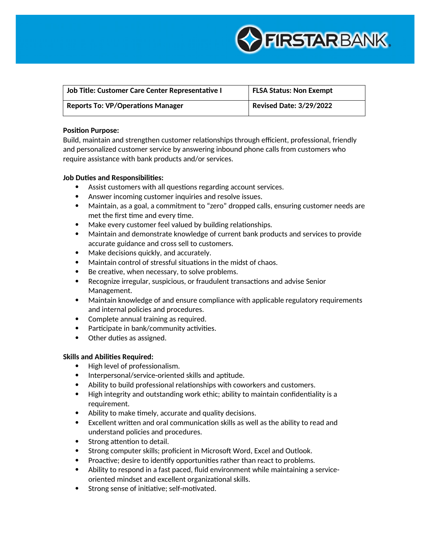

| Job Title: Customer Care Center Representative I | <b>FLSA Status: Non Exempt</b> |
|--------------------------------------------------|--------------------------------|
| <b>Reports To: VP/Operations Manager</b>         | <b>Revised Date: 3/29/2022</b> |

## **Position Purpose:**

Build, maintain and strengthen customer relationships through efficient, professional, friendly and personalized customer service by answering inbound phone calls from customers who require assistance with bank products and/or services.

# **Job Duties and Responsibilities:**

- Assist customers with all questions regarding account services.
- Answer incoming customer inquiries and resolve issues.
- Maintain, as a goal, a commitment to "zero" dropped calls, ensuring customer needs are met the first time and every time.
- Make every customer feel valued by building relationships.
- Maintain and demonstrate knowledge of current bank products and services to provide accurate guidance and cross sell to customers.
- Make decisions quickly, and accurately.
- Maintain control of stressful situations in the midst of chaos.
- Be creative, when necessary, to solve problems.
- Recognize irregular, suspicious, or fraudulent transactions and advise Senior Management.
- Maintain knowledge of and ensure compliance with applicable regulatory requirements and internal policies and procedures.
- Complete annual training as required.
- Participate in bank/community activities.
- Other duties as assigned.

# **Skills and Abilities Required:**

- High level of professionalism.
- Interpersonal/service-oriented skills and aptitude.
- Ability to build professional relationships with coworkers and customers.
- High integrity and outstanding work ethic; ability to maintain confidentiality is a requirement.
- Ability to make timely, accurate and quality decisions.
- Excellent written and oral communication skills as well as the ability to read and understand policies and procedures.
- Strong attention to detail.
- Strong computer skills; proficient in Microsoft Word, Excel and Outlook.
- Proactive; desire to identify opportunities rather than react to problems.
- Ability to respond in a fast paced, fluid environment while maintaining a serviceoriented mindset and excellent organizational skills.
- Strong sense of initiative; self-motivated.